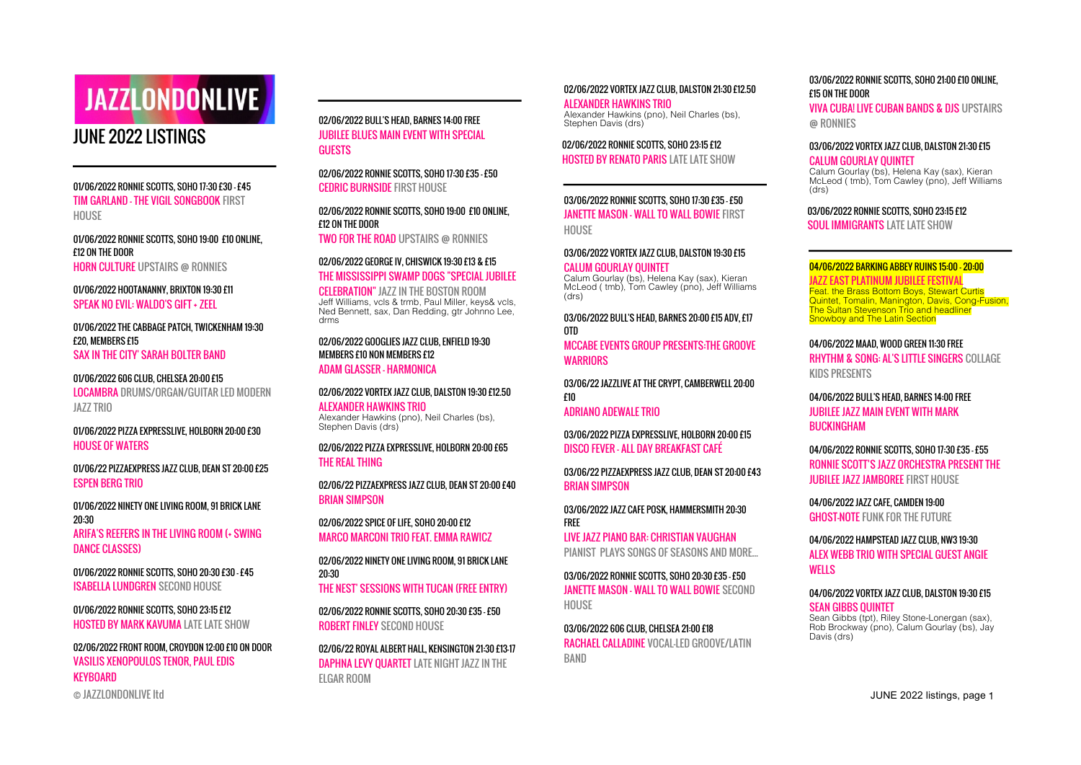# **JAZZLONDONLIVE**

# JUNE 2022 LISTINGS

01/06/2022 RONNIE SCOTTS, SOHO 17:30 £30 - £45 TIM GARLAND - THE VIGIL SONGBOOK FIRST **HOUSE** 

01/06/2022 RONNIE SCOTTS, SOHO 19:00 £10 ONLINE, £12 ON THE DOOR HORN CULTURE UPSTAIRS @ RONNIES

01/06/2022 HOOTANANNY, BRIXTON 19:30 £11 SPEAK NO EVIL: WALDO'S GIFT + ZEEL

01/06/2022 THE CABBAGE PATCH, TWICKENHAM 19:30 £20, MEMBERS £15 SAX IN THE CITY' SARAH BOLTER BAND

01/06/2022 606 CLUB, CHELSEA 20:00 £15 LOCAMBRA DRUMS/ORGAN/GUITAR LED MODERN JAZZ TRIO

01/06/2022 PIZZA EXPRESSLIVE, HOLBORN 20:00 £30 HOUSE OF WATERS

01/06/22 PIZZAEXPRESS JAZZ CLUB, DEAN ST 20:00 £25 ESPEN BERG TRIO

01/06/2022 NINETY ONE LIVING ROOM, 91 BRICK LANE 20:30 ARIFA'S REEFERS IN THE LIVING ROOM (+ SWING DANCE CLASSES)

01/06/2022 RONNIE SCOTTS, SOHO 20:30 £30 - £45 ISABELLA LUNDGREN SECOND HOUSE

01/06/2022 RONNIE SCOTTS, SOHO 23:15 £12 HOSTED BY MARK KAVUMA LATE LATE SHOW

© JAZZLONDONLIVE ltd JUNE 2022 listings, page 1 02/06/2022 FRONT ROOM, CROYDON 12:00 £10 ON DOOR VASILIS XENOPOULOS TENOR, PAUL EDIS KEYBOARD

02/06/2022 BULL'S HEAD, BARNES 14:00 FREE JUBILEE BLUES MAIN EVENT WITH SPECIAL GUESTS

02/06/2022 RONNIE SCOTTS, SOHO 17:30 £35 - £50 CEDRIC BURNSIDE FIRST HOUSE

02/06/2022 RONNIE SCOTTS, SOHO 19:00 £10 ONLINE, £12 ON THE DOOR TWO FOR THE ROAD UPSTAIRS @ RONNIES

02/06/2022 GEORGE IV, CHISWICK 19:30 £13 & £15 THE MISSISSIPPI SWAMP DOGS "SPECIAL JUBILEE

CELEBRATION" JAZZ IN THE BOSTON ROOM Jeff Williams, vcls & trmb, Paul Miller, keys& vcls, Ned Bennett, sax, Dan Redding, gtr Johnno Lee, drms

#### 02/06/2022 GOOGLIES JAZZ CLUB, ENFIELD 19:30 MEMBERS £10 NON MEMBERS £12

ADAM GLASSER - HARMONICA

02/06/2022 VORTEX JAZZ CLUB, DALSTON 19:30 £12.50 ALEXANDER HAWKINS TRIO Alexander Hawkins (pno), Neil Charles (bs), Stephen Davis (drs)

02/06/2022 PIZZA EXPRESSLIVE, HOLBORN 20:00 £65 THE REAL THING

02/06/22 PIZZAEXPRESS JAZZ CLUB, DEAN ST 20:00 £40 BRIAN SIMPSON

02/06/2022 SPICE OF LIFE, SOHO 20:00 £12 MARCO MARCONI TRIO FEAT. EMMA RAWICZ

02/06/2022 NINETY ONE LIVING ROOM, 91 BRICK LANE 20:30 THE NEST' SESSIONS WITH TUCAN (FREE ENTRY)

02/06/2022 RONNIE SCOTTS, SOHO 20:30 £35 - £50 ROBERT FINLEY SECOND HOUSE

02/06/22 ROYAL ALBERT HALL, KENSINGTON 21:30 £13-17 DAPHNA LEVY QUARTET LATE NIGHT JAZZ IN THE ELGAR ROOM

#### 02/06/2022 VORTEX JAZZ CLUB, DALSTON 21:30 £12.50

ALEXANDER HAWKINS TRIO Alexander Hawkins (pno), Neil Charles (bs), Stephen Davis (drs)

02/06/2022 RONNIE SCOTTS, SOHO 23:15 £12 HOSTED BY RENATO PARIS LATE LATE SHOW

03/06/2022 RONNIE SCOTTS, SOHO 17:30 £35 - £50 JANETTE MASON - WALL TO WALL BOWIE FIRST **HOUSE** 

03/06/2022 VORTEX JAZZ CLUB, DALSTON 19:30 £15 CALUM GOURLAY QUINTET

Calum Gourlay (bs), Helena Kay (sax), Kieran McLeod ( tmb), Tom Cawley (pno), Jeff Williams (drs)

03/06/2022 BULL'S HEAD, BARNES 20:00 £15 ADV, £17 OTD MCCABE EVENTS GROUP PRESENTS:THE GROOVE WARRIORS

03/06/22 JAZZLIVE AT THE CRYPT, CAMBERWELL 20:00 £10

ADRIANO ADEWALE TRIO

03/06/2022 PIZZA EXPRESSLIVE, HOLBORN 20:00 £15 DISCO FEVER - ALL DAY BREAKFAST CAFÉ

03/06/22 PIZZAEXPRESS JAZZ CLUB, DEAN ST 20:00 £43 BRIAN SIMPSON

03/06/2022 JAZZ CAFE POSK, HAMMERSMITH 20:30 FREE LIVE JAZZ PIANO BAR: CHRISTIAN VAUGHAN

PIANIST PLAYS SONGS OF SEASONS AND MORE...

03/06/2022 RONNIE SCOTTS, SOHO 20:30 £35 - £50 JANETTE MASON - WALL TO WALL BOWIE SECOND **HOUSE** 

03/06/2022 606 CLUB, CHELSEA 21:00 £18 RACHAEL CALLADINE VOCAL-LED GROOVE/LATIN BAND

03/06/2022 RONNIE SCOTTS, SOHO 21:00 £10 ONLINE, £15 ON THE DOOR

VIVA CUBA! LIVE CUBAN BANDS & DJS UPSTAIRS @ RONNIES

03/06/2022 VORTEX JAZZ CLUB, DALSTON 21:30 £15 CALUM GOURLAY QUINTET

Calum Gourlay (bs), Helena Kay (sax), Kieran McLeod ( tmb), Tom Cawley (pno), Jeff Williams (drs)

03/06/2022 RONNIE SCOTTS, SOHO 23:15 £12

SOUL IMMIGRANTS LATE LATE SHOW

#### 04/06/2022 BARKING ABBEY RUINS 15:00 – 20:00

JAZZ EAST PLATINUM JUBILEE FESTIVAL Feat. the Brass Bottom Boys, Stewart Curtis Quintet, Tomalin, Manington, Davis, Cong-Fusion, The Sultan Stevenson Trio and headliner Snowboy and The Latin Section

04/06/2022 MAAD, WOOD GREEN 11:30 FREE RHYTHM & SONG: AL'S LITTLE SINGERS COLLAGE KIDS PRESENTS

04/06/2022 BULL'S HEAD, BARNES 14:00 FREE JUBILEE JAZZ MAIN EVENT WITH MARK BUCKINGHAM

04/06/2022 RONNIE SCOTTS, SOHO 17:30 £35 - £55 RONNIE SCOTT'S JAZZ ORCHESTRA PRESENT THE JUBILEE JAZZ JAMBOREE FIRST HOUSE

04/06/2022 JAZZ CAFE, CAMDEN 19:00 GHOST-NOTE FUNK FOR THE FUTURE

04/06/2022 HAMPSTEAD JAZZ CLUB, NW3 19:30 ALEX WEBB TRIO WITH SPECIAL GUEST ANGIE **WELLS** 

04/06/2022 VORTEX JAZZ CLUB, DALSTON 19:30 £15 SEAN GIBBS QUINTET

Sean Gibbs (tpt), Riley Stone-Lonergan (sax), Rob Brockway (pno), Calum Gourlay (bs), Jay Davis (drs)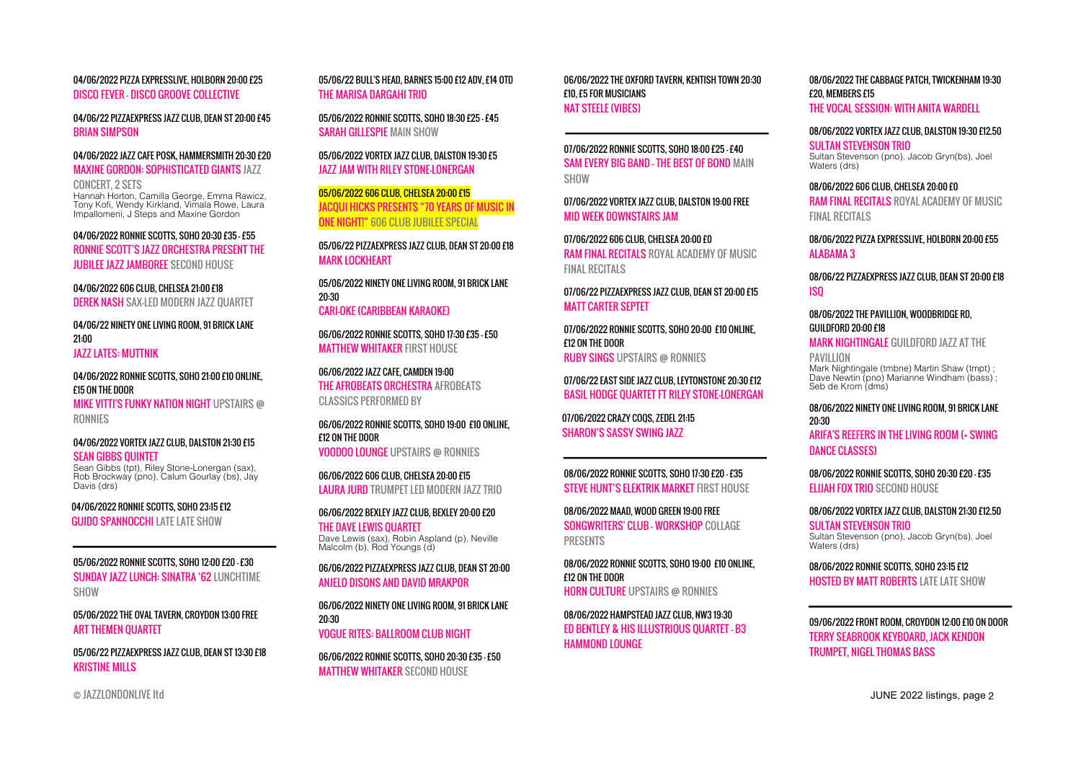04/06/2022 PIZZA EXPRESSLIVE, HOLBORN 20:00 £25 DISCO FEVER - DISCO GROOVE COLLECTIVE

04/06/22 PIZZAEXPRESS JAZZ CLUB, DEAN ST 20:00 £45 BRIAN SIMPSON

04/06/2022 JAZZ CAFE POSK, HAMMERSMITH 20:30 £20 MAXINE GORDON: SOPHISTICATED GIANTS JAZZ

CONCERT, 2 SETS Hannah Horton, Camilla George, Emma Rawicz, Tony Kofi, Wendy Kirkland, Vimala Rowe, Laura Impallomeni, J Steps and Maxine Gordon

04/06/2022 RONNIE SCOTTS, SOHO 20:30 £35 - £55 RONNIE SCOTT'S JAZZ ORCHESTRA PRESENT THE JUBILEE JAZZ JAMBOREE SECOND HOUSE

04/06/2022 606 CLUB, CHFLSFA 21:00 £18 DEREK NASH SAX-LED MODERN JAZZ QUARTET

04/06/22 NINETY ONE LIVING ROOM, 91 BRICK LANE 21:00 JAZZ LATES: MUTTNIK

04/06/2022 RONNIE SCOTTS, SOHO 21:00 £10 ONLINE, £15 ON THE DOOR

MIKE VITTI'S FUNKY NATION NIGHT UPSTAIRS @ RONNIES

04/06/2022 VORTEX JAZZ CLUB, DALSTON 21:30 £15 **SEAN GIBBS OUINTET** 

Sean Gibbs (tpt), Riley Stone-Lonergan (sax), Rob Brockway (pno), Calum Gourlay (bs), Jay Davis (drs)

04/06/2022 RONNIE SCOTTS, SOHO 23:15 £12 GUIDO SPANNOCCHI LATE LATE SHOW

05/06/2022 RONNIE SCOTTS, SOHO 12:00 £20 - £30 SUNDAY JAZZ LUNCH: SINATRA '62 LUNCHTIME SHOW

05/06/2022 THE OVAL TAVERN, CROYDON 13:00 FREE **ART THEMEN OUARTET** 

05/06/22 PIZZAEXPRESS JAZZ CLUB, DEAN ST 13:30 £18 KRISTINE MILLS

05/06/22 BULL'S HEAD, BARNES 15:00 £12 ADV, £14 OTD THE MARISA DARGAHI TRIO

05/06/2022 RONNIE SCOTTS, SOHO 18:30 £25 - £45 SARAH GILLESPIE MAIN SHOW

05/06/2022 VORTEX JAZZ CLUB, DALSTON 19:30 £5 JAZZ JAM WITH RILEY STONE-LONERGAN

05/06/2022 606 CLUB, CHELSEA 20:00 £15 JACQUI HICKS PRESENTS "70 YEARS OF MUSIC IN ONE NIGHT!" 606 CLUB JUBILEE SPECIAL

05/06/22 PIZZAEXPRESS JAZZ CLUB, DEAN ST 20:00 £18 MARK LOCKHEART

05/06/2022 NINETY ONE LIVING ROOM, 91 BRICK LANE 20:30 CARI-OKE (CARIBBEAN KARAOKE)

06/06/2022 RONNIE SCOTTS, SOHO 17:30 £35 - £50 MATTHEW WHITAKER FIRST HOUSE

06/06/2022 JAZZ CAFE, CAMDEN 19:00 THE AFROBEATS ORCHESTRA AFROBEATS CLASSICS PERFORMED BY

06/06/2022 RONNIE SCOTTS, SOHO 19:00 £10 ONLINE, £12 ON THE DOOR VOODOO LOUNGE UPSTAIRS @ RONNIES

06/06/2022 606 CLUB, CHELSEA 20:00 £15 LAURA JURD TRUMPET LED MODERN JAZZ TRIO

06/06/2022 BEXLEY JAZZ CLUB, BEXLEY 20:00 £20 THE DAVE LEWIS QUARTET Dave Lewis (sax), Robin Aspland (p), Neville Malcolm (b), Rod Youngs (d)

06/06/2022 PIZZAEXPRESS JAZZ CLUB, DEAN ST 20:00 ANJELO DISONS AND DAVID MRAKPOR

06/06/2022 NINETY ONE LIVING ROOM, 91 BRICK LANE 20:30 VOGUE RITES: BALLROOM CLUB NIGHT

06/06/2022 RONNIE SCOTTS, SOHO 20:30 £35 - £50 MATTHEW WHITAKER SECOND HOUSE

06/06/2022 THE OXFORD TAVERN, KENTISH TOWN 20:30 £10, £5 FOR MUSICIANS NAT STEELE (VIBES)

07/06/2022 RONNIE SCOTTS, SOHO 18:00 £25 - £40 SAM EVERY BIG BAND - THE BEST OF BOND MAIN SHOW

07/06/2022 VORTEX JAZZ CLUB, DALSTON 19:00 FREE MID WEEK DOWNSTAIRS JAM

07/06/2022 606 CLUB, CHELSEA 20:00 £0 RAM FINAL RECITALS ROYAL ACADEMY OF MUSIC FINAL RECITALS

07/06/22 PIZZAEXPRESS JAZZ CLUB, DEAN ST 20:00 £15 MATT CARTER SEPTET

07/06/2022 RONNIE SCOTTS, SOHO 20:00 £10 ONLINE, £12 ON THE DOOR RUBY SINGS UPSTAIRS @ RONNIES

07/06/22 EAST SIDE JAZZ CLUB, LEYTONSTONE 20:30 £12 BASIL HODGE QUARTET FT RILEY STONE-LONERGAN

07/06/2022 CRAZY COQS, ZEDEL 21:15 SHARON'S SASSY SWING JAZZ

08/06/2022 RONNIE SCOTTS, SOHO 17:30 £20 - £35 STEVE HUNT'S ELEKTRIK MARKET FIRST HOUSE

08/06/2022 MAAD, WOOD GREEN 19:00 FREE SONGWRITERS' CLUB - WORKSHOP COLLAGE PRESENTS

08/06/2022 RONNIE SCOTTS, SOHO 19:00 £10 ONLINE, £12 ON THE DOOR HORN CULTURE UPSTAIRS @ RONNIES

08/06/2022 HAMPSTEAD JAZZ CLUB, NW3 19:30 ED BENTLEY & HIS ILLUSTRIOUS QUARTET - B3 HAMMOND LOUNGE

08/06/2022 THE CABBAGE PATCH, TWICKENHAM 19:30 £20, MEMBERS £15 THE VOCAL SESSION: WITH ANITA WARDELL

#### 08/06/2022 VORTEX JAZZ CLUB, DALSTON 19:30 £12.50

SULTAN STEVENSON TRIO Sultan Stevenson (pno), Jacob Gryn(bs), Joel Waters (drs)

08/06/2022 606 CLUB, CHELSEA 20:00 £0

RAM FINAL RECITALS ROYAL ACADEMY OF MUSIC FINAL RECITALS

08/06/2022 PIZZA EXPRESSLIVE, HOLBORN 20:00 £55 **ALARAMA 3** 

08/06/22 PIZZAEXPRESS JAZZ CLUB, DEAN ST 20:00 £18 ISQ

08/06/2022 THE PAVILLION, WOODBRIDGE RD, GUILDFORD 20:00 £18

MARK NIGHTINGALE GUILDFORD JAZZ AT THE

**PAVILLION** Mark Nightingale (tmbne) Martin Shaw (tmpt) ; Dave Newtin (pno) Marianne Windham (bass) ; Seb de Krom (dms)

08/06/2022 NINETY ONE LIVING ROOM, 91 BRICK LANE 20:30 ARIFA'S REEFERS IN THE LIVING ROOM (+ SWING DANCE CLASSES)

08/06/2022 RONNIE SCOTTS, SOHO 20:30 £20 - £35 ELIJAH FOX TRIO SECOND HOUSE

08/06/2022 VORTEX JAZZ CLUB, DALSTON 21:30 £12.50 SULTAN STEVENSON TRIO Sultan Stevenson (pno), Jacob Gryn(bs), Joel Waters (drs)

08/06/2022 RONNIE SCOTTS, SOHO 23:15 £12 HOSTED BY MATT ROBERTS LATE LATE SHOW

09/06/2022 FRONT ROOM, CROYDON 12:00 £10 ON DOOR TERRY SEABROOK KEYBOARD, JACK KENDON TRUMPET, NIGEL THOMAS BASS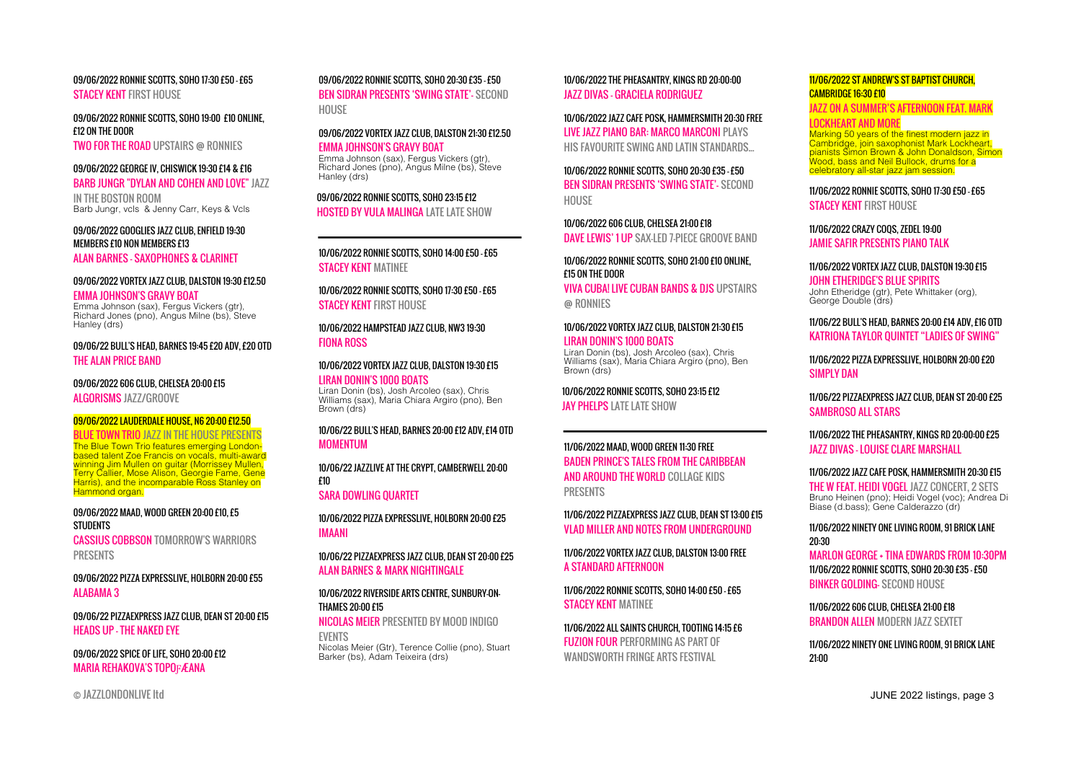09/06/2022 RONNIE SCOTTS, SOHO 17:30 £50 - £65 **STACFY KENT FIRST HOUSE** 

09/06/2022 RONNIE SCOTTS, SOHO 19:00 £10 ONLINE, £12 ON THE DOOR

TWO FOR THE ROAD UPSTAIRS @ RONNIES

#### 09/06/2022 GEORGE IV, CHISWICK 19:30 £14 & £16 BARB JUNGR "DYLAN AND COHEN AND LOVE" JAZZ

IN THE BOSTON ROOM Barb Jungr, vcls & Jenny Carr, Keys & Vcls

09/06/2022 GOOGLIES JAZZ CLUB, ENFIELD 19:30 MEMBERS £10 NON MEMBERS £13

## ALAN BARNES - SAXOPHONES & CLARINET

#### 09/06/2022 VORTEX JAZZ CLUB, DALSTON 19:30 £12.50

EMMA JOHNSON'S GRAVY BOAT Emma Johnson (sax), Fergus Vickers (gtr), Richard Jones (pno), Angus Milne (bs), Steve Hanley (drs)

09/06/22 BULL'S HEAD, BARNES 19:45 £20 ADV, £20 OTD THE ALAN PRICE BAND

## 09/06/2022 606 CLUB, CHELSEA 20:00 £15

ALGORISMS 1477/GROOVE

#### 09/06/2022 LAUDERDALE HOUSE, N6 20:00 £12.50

BLUE TOWN TRIO JAZZ IN THE HOUSE PRESENTS The Blue Town Trio features emerging Londonbased talent Zoe Francis on vocals, multi-award winning Jim Mullen on quitar (Morrissey Mullen, Terry Callier, Mose Alison, Georgie Fame, Gene Harris), and the incomparable Ross Stanley on Hammond organ.

#### 09/06/2022 MAAD, WOOD GREEN 20:00 £10, £5 **STUDENTS**

CASSIUS COBBSON TOMORROW'S WARRIORS PRESENTS

09/06/2022 PIZZA EXPRESSLIVE, HOLBORN 20:00 £55 ALABAMA 3

09/06/22 PIZZAEXPRESS JAZZ CLUB, DEAN ST 20:00 £15 HEADS UP - THE NAKED EYE

09/06/2022 SPICE OF LIFE, SOHO 20:00 £12 MARIA REHAKOVA'S TOPOFÆANA

#### 09/06/2022 RONNIE SCOTTS, SOHO 20:30 £35 - £50

BEN SIDRAN PRESENTS 'SWING STATE'- SECOND HOUSE

#### 09/06/2022 VORTEX JAZZ CLUB, DALSTON 21:30 £12.50 EMMA JOHNSON'S GRAVY BOAT

Emma Johnson (sax), Fergus Vickers (gtr), Richard Jones (pno), Angus Milne (bs), Steve Hanley (drs)

## 09/06/2022 RONNIE SCOTTS, SOHO 23:15 £12

HOSTED BY VULA MALINGA LATE LATE SHOW

#### 10/06/2022 RONNIE SCOTTS, SOHO 14:00 £50 - £65 STACEY KENT MATINEE

10/06/2022 RONNIE SCOTTS, SOHO 17:30 £50 - £65 **STACFY KENT FIRST HOUSE** 

10/06/2022 HAMPSTEAD JAZZ CLUB, NW3 19:30 **FIONA ROSS** 

#### 10/06/2022 VORTEX JAZZ CLUB, DALSTON 19:30 £15 LIRAN DONIN'S 1000 BOATS Liran Donin (bs), Josh Arcoleo (sax), Chris Williams (sax), Maria Chiara Argiro (pno), Ben Brown (drs)

#### 10/06/22 BULL'S HEAD, BARNES 20:00 £12 ADV, £14 OTD MOMENTUM

10/06/22 JAZZLIVE AT THE CRYPT, CAMBERWELL 20:00 £10

SARA DOWLING QUARTET

10/06/2022 PIZZA EXPRESSLIVE, HOLBORN 20:00 £25 IMAANI

10/06/22 PIZZAEXPRESS JAZZ CLUB, DEAN ST 20:00 £25 ALAN BARNES & MARK NIGHTINGALE

#### 10/06/2022 RIVERSIDE ARTS CENTRE, SUNBURY-ON-THAMES 20:00 £15

NICOLAS MEIER PRESENTED BY MOOD INDIGO EVENTS

Nicolas Meier (Gtr), Terence Collie (pno), Stuart Barker (bs), Adam Teixeira (drs)

10/06/2022 THE PHEASANTRY, KINGS RD 20:00:00 JAZZ DIVAS - GRACIELA RODRIGUEZ

10/06/2022 JAZZ CAFE POSK, HAMMERSMITH 20:30 FREE LIVE JAZZ PIANO BAR: MARCO MARCONI PLAYS HIS FAVOURITE SWING AND LATIN STANDARDS...

10/06/2022 RONNIE SCOTTS, SOHO 20:30 £35 - £50 BEN SIDRAN PRESENTS 'SWING STATE'- SECOND HOUSE

10/06/2022 606 CLUB, CHELSEA 21:00 £18 DAVE LEWIS' 1 UP SAX-LED 7-PIECE GROOVE BAND

#### 10/06/2022 RONNIE SCOTTS, SOHO 21:00 £10 ONLINE, £15 ON THE DOOR

VIVA CUBA! LIVE CUBAN BANDS & DJS UPSTAIRS @ RONNIES

#### 10/06/2022 VORTEX JAZZ CLUB, DALSTON 21:30 £15 LIRAN DONIN'S 1000 BOATS

Liran Donin (bs), Josh Arcoleo (sax), Chris Williams (sax), Maria Chiara Argiro (pno), Ben Brown (drs)

10/06/2022 RONNIE SCOTTS, SOHO 23:15 £12 **JAY PHELPS LATE LATE SHOW** 

## 11/06/2022 MAAD, WOOD GREEN 11:30 FREE BADEN PRINCE'S TALES FROM THE CARIBBEAN AND AROUND THE WORLD COLLAGE KIDS PRESENTS

11/06/2022 PIZZAEXPRESS JAZZ CLUB, DEAN ST 13:00 £15 VLAD MILLER AND NOTES FROM UNDERGROUND

11/06/2022 VORTEX JAZZ CLUB, DALSTON 13:00 FREE A STANDARD AFTERNOON

11/06/2022 RONNIE SCOTTS, SOHO 14:00 £50 - £65 **STACEY KENT MATINEE** 

11/06/2022 ALL SAINTS CHURCH, TOOTING 14:15 £6 **FUZION FOUR PERFORMING AS PART OF** WANDSWORTH FRINGF ARTS FESTIVAL

#### 11/06/2022 ST ANDREW'S ST BAPTIST CHURCH, CAMBRIDGE 16:30 £10

JAZZ ON A SUMMER'S AFTERNOON FEAT. MARK

#### **OCKHEART AND MORE**

Marking 50 years of the finest modern jazz in Cambridge, join saxophonist Mark Lockheart, pianists Simon Brown & John Donaldson, Simon Wood, bass and Neil Bullock, drums for a celebratory all-star jazz jam session.

11/06/2022 RONNIE SCOTTS, SOHO 17:30 £50 - £65 STACFY KENT FIRST HOUSE

#### 11/06/2022 CRAZY COQS, ZEDEL 19:00 JAMIE SAFIR PRESENTS PIANO TALK

11/06/2022 VORTEX JAZZ CLUB, DALSTON 19:30 £15 JOHN ETHERIDGE'S BLUE SPIRITS

John Etheridge (gtr), Pete Whittaker (org), George Double (drs)

#### 11/06/22 BULL'S HEAD, BARNES 20:00 £14 ADV, £16 OTD KATRIONA TAYLOR QUINTET "LADIES OF SWING"

11/06/2022 PIZZA EXPRESSLIVE, HOLBORN 20:00 £20 SIMPLY DAN

11/06/22 PIZZAEXPRESS JAZZ CLUB, DEAN ST 20:00 £25 SAMBROSO ALL STARS

#### 11/06/2022 THE PHEASANTRY, KINGS RD 20:00:00 £25 JAZZ DIVAS - LOUISE CLARE MARSHALL

#### 11/06/2022 JAZZ CAFE POSK, HAMMERSMITH 20:30 £15

THE W FEAT. HEIDI VOGEL JAZZ CONCERT, 2 SETS Bruno Heinen (pno); Heidi Vogel (voc); Andrea Di Biase (d.bass); Gene Calderazzo (dr)

#### 11/06/2022 NINETY ONE LIVING ROOM, 91 BRICK LANE 20:30 MARLON GEORGE + TINA EDWARDS FROM 10:30PM 11/06/2022 RONNIE SCOTTS, SOHO 20:30 £35 - £50 BINKER GOLDING- SECOND HOUSE

11/06/2022 606 CLUB, CHELSEA 21:00 £18 BRANDON ALLEN MODERN JAZZ SEXTET

#### 11/06/2022 NINETY ONE LIVING ROOM, 91 BRICK LANE 21:00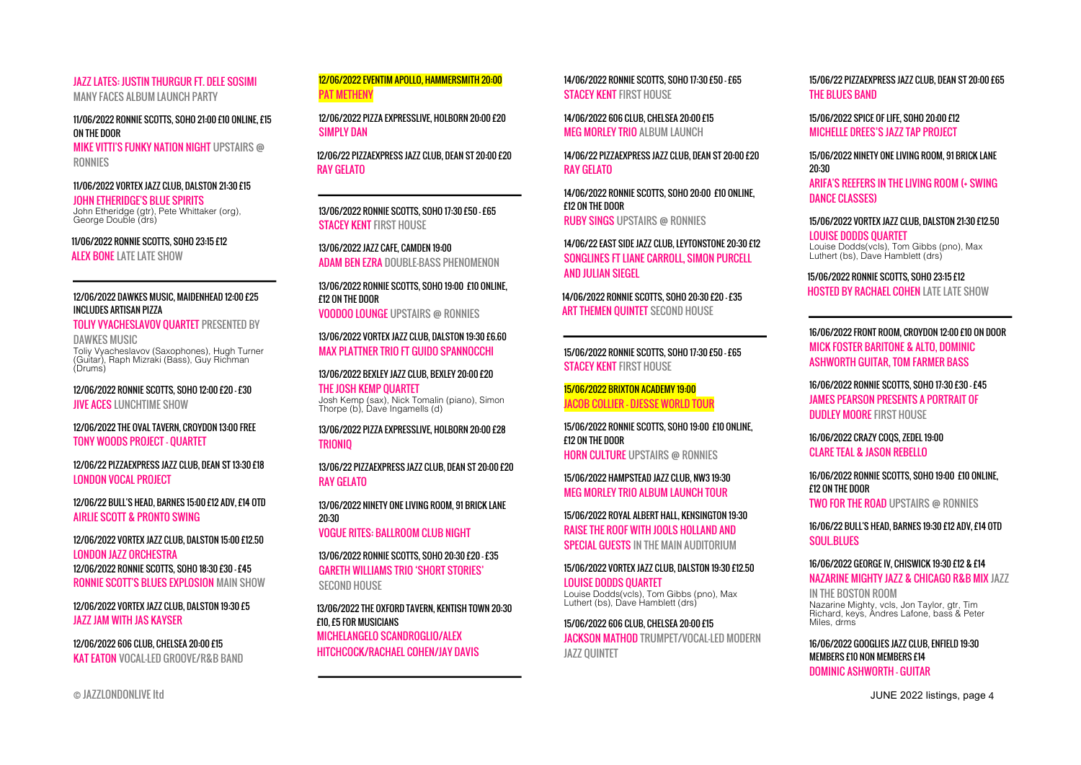#### JAZZ LATES: JUSTIN THURGUR FT. DELE SOSIMI MANY FACES ALBUM LAUNCH PARTY

11/06/2022 RONNIE SCOTTS, SOHO 21:00 £10 ONLINE, £15

ON THE DOOR

MIKE VITTI'S FUNKY NATION NIGHT UPSTAIRS @ RONNIES

#### 11/06/2022 VORTEX JAZZ CLUB, DALSTON 21:30 £15

JOHN ETHERIDGE'S BLUE SPIRITS John Etheridge (gtr), Pete Whittaker (org), George Double (drs)

11/06/2022 RONNIE SCOTTS, SOHO 23:15 £12 **ALEX BONE LATE LATE SHOW** 

#### 12/06/2022 DAWKES MUSIC, MAIDENHEAD 12:00 £25 INCLUDES ARTISAN PIZZA

TOLIY VYACHESLAVOV QUARTET PRESENTED BY DAWKES MUSIC

Toliy Vyacheslavov (Saxophones), Hugh Turner (Guitar), Raph Mizraki (Bass), Guy Richman (Drums)

12/06/2022 RONNIE SCOTTS, SOHO 12:00 £20 - £30 **JIVE ACES LUNCHTIME SHOW** 

12/06/2022 THE OVAL TAVERN, CROYDON 13:00 FREE TONY WOODS PROJECT - QUARTET

12/06/22 PIZZAEXPRESS JAZZ CLUB, DEAN ST 13:30 £18 LONDON VOCAL PROJECT

12/06/22 BULL'S HEAD, BARNES 15:00 £12 ADV, £14 OTD AIRLIE SCOTT & PRONTO SWING

12/06/2022 VORTEX JAZZ CLUB, DALSTON 15:00 £12.50 LONDON JAZZ ORCHESTRA 12/06/2022 RONNIE SCOTTS, SOHO 18:30 £30 - £45 RONNIE SCOTT'S BLUES EXPLOSION MAIN SHOW

12/06/2022 VORTEX JAZZ CLUB, DALSTON 19:30 £5 JAZZ JAM WITH JAS KAYSER

12/06/2022 606 CLUB, CHELSEA 20:00 £15 KAT EATON VOCAL-LED GROOVE/R&B BAND

12/06/2022 EVENTIM APOLLO, HAMMERSMITH 20:00 PAT METHENY

12/06/2022 PIZZA EXPRESSLIVE, HOLBORN 20:00 £20 SIMPLY DAN

12/06/22 PIZZAEXPRESS JAZZ CLUB, DEAN ST 20:00 £20 RAY GELATO

13/06/2022 RONNIE SCOTTS, SOHO 17:30 £50 - £65 **STACEY KENT FIRST HOUSE** 

13/06/2022 JAZZ CAFE, CAMDEN 19:00 ADAM BEN EZRA DOUBLE-BASS PHENOMENON

13/06/2022 RONNIE SCOTTS, SOHO 19:00 £10 ONLINE, £12 ON THE DOOR VOODOO LOUNGE UPSTAIRS @ RONNIES

13/06/2022 VORTEX JAZZ CLUB, DALSTON 19:30 £6.60 MAX PLATTNER TRIO FT GUIDO SPANNOCCHI

13/06/2022 BEXLEY JAZZ CLUB, BEXLEY 20:00 £20 THE JOSH KEMP QUARTET Josh Kemp (sax), Nick Tomalin (piano), Simon Thorpe (b), Dave Ingamells (d)

13/06/2022 PIZZA EXPRESSLIVE, HOLBORN 20:00 £28 TRIONIQ

13/06/22 PIZZAEXPRESS JAZZ CLUB, DEAN ST 20:00 £20 RAY GELATO

13/06/2022 NINETY ONE LIVING ROOM, 91 BRICK LANE 20:30

VOGUE RITES: BALLROOM CLUB NIGHT

13/06/2022 RONNIE SCOTTS, SOHO 20:30 £20 - £35 GARETH WILLIAMS TRIO 'SHORT STORIES' SECOND HOUSE

13/06/2022 THE OXFORD TAVERN, KENTISH TOWN 20:30 £10, £5 FOR MUSICIANS MICHELANGELO SCANDROGLIO/ALEX HITCHCOCK/RACHAEL COHEN/JAY DAVIS

14/06/2022 RONNIE SCOTTS, SOHO 17:30 £50 - £65 **STACFY KENT FIRST HOUSE** 

14/06/2022 606 CLUB, CHELSEA 20:00 £15 MEG MORLEY TRIO ALBUM LAUNCH

14/06/22 PIZZAEXPRESS JAZZ CLUB, DEAN ST 20:00 £20 RAY GELATO

14/06/2022 RONNIE SCOTTS, SOHO 20:00 £10 ONLINE, £12 ON THE DOOR RUBY SINGS UPSTAIRS @ RONNIES

14/06/22 EAST SIDE JAZZ CLUB, LEYTONSTONE 20:30 £12 SONGLINES FT LIANE CARROLL, SIMON PURCELL AND JULIAN SIEGEL

14/06/2022 RONNIE SCOTTS, SOHO 20:30 £20 - £35 ART THEMEN QUINTET SECOND HOUSE

15/06/2022 RONNIE SCOTTS, SOHO 17:30 £50 - £65 **STACEY KENT FIRST HOUSE** 

15/06/2022 BRIXTON ACADEMY 19:00 JACOB COLLIER - DJESSE WORLD TOUR

15/06/2022 RONNIE SCOTTS, SOHO 19:00 £10 ONLINE, £12 ON THE DOOR HORN CULTURE UPSTAIRS @ RONNIES

15/06/2022 HAMPSTEAD JAZZ CLUB, NW3 19:30 MEG MORLEY TRIO ALBUM LAUNCH TOUR

15/06/2022 ROYAL ALBERT HALL, KENSINGTON 19:30 RAISE THE ROOF WITH JOOLS HOLLAND AND SPECIAL GUESTS IN THE MAIN AUDITORIUM

15/06/2022 VORTEX JAZZ CLUB, DALSTON 19:30 £12.50

LOUISE DODDS QUARTET Louise Dodds(vcls), Tom Gibbs (pno), Max Luthert (bs), Dave Hamblett (drs)

15/06/2022 606 CLUB, CHELSEA 20:00 £15 JACKSON MATHOD TRUMPET/VOCAL-LED MODERN JAZZ QUINTET

15/06/22 PIZZAEXPRESS JAZZ CLUB, DEAN ST 20:00 £65 THE RULLES RAND

15/06/2022 SPICE OF LIFE, SOHO 20:00 £12 MICHELLE DREES'S JAZZ TAP PROJECT

15/06/2022 NINETY ONE LIVING ROOM, 91 BRICK LANE 20:30 ARIFA'S REEFERS IN THE LIVING ROOM (+ SWING DANCE CLASSES)

15/06/2022 VORTEX JAZZ CLUB, DALSTON 21:30 £12.50 LOUISE DODDS QUARTET Louise Dodds(vcls), Tom Gibbs (pno), Max Luthert (bs), Dave Hamblett (drs)

15/06/2022 RONNIE SCOTTS, SOHO 23:15 £12 HOSTED BY RACHAEL COHEN LATE LATE SHOW

#### 16/06/2022 FRONT ROOM, CROYDON 12:00 £10 ON DOOR MICK FOSTER BARITONE & ALTO, DOMINIC ASHWORTH GUITAR, TOM FARMER BASS

16/06/2022 RONNIE SCOTTS, SOHO 17:30 £30 - £45 JAMES PEARSON PRESENTS A PORTRAIT OF DUDLEY MOORE FIRST HOUSE

16/06/2022 CRAZY COQS, ZEDEL 19:00 CLARE TEAL & JASON REBELLO

16/06/2022 RONNIE SCOTTS, SOHO 19:00 £10 ONLINE, £12 ON THE DOOR TWO FOR THE ROAD UPSTAIRS @ RONNIES

16/06/22 BULL'S HEAD, BARNES 19:30 £12 ADV, £14 OTD **SOUL.BLUES** 

#### 16/06/2022 GEORGE IV, CHISWICK 19:30 £12 & £14 NAZARINE MIGHTY JAZZ & CHICAGO R&B MIX JAZZ

IN THE BOSTON ROOM Nazarine Mighty, vcls, Jon Taylor, gtr, Tim Richard, keys, Andres Lafone, bass & Peter Miles, drms

16/06/2022 GOOGLIES JAZZ CLUB, ENFIELD 19:30 MEMBERS £10 NON MEMBERS £14 DOMINIC ASHWORTH - GUITAR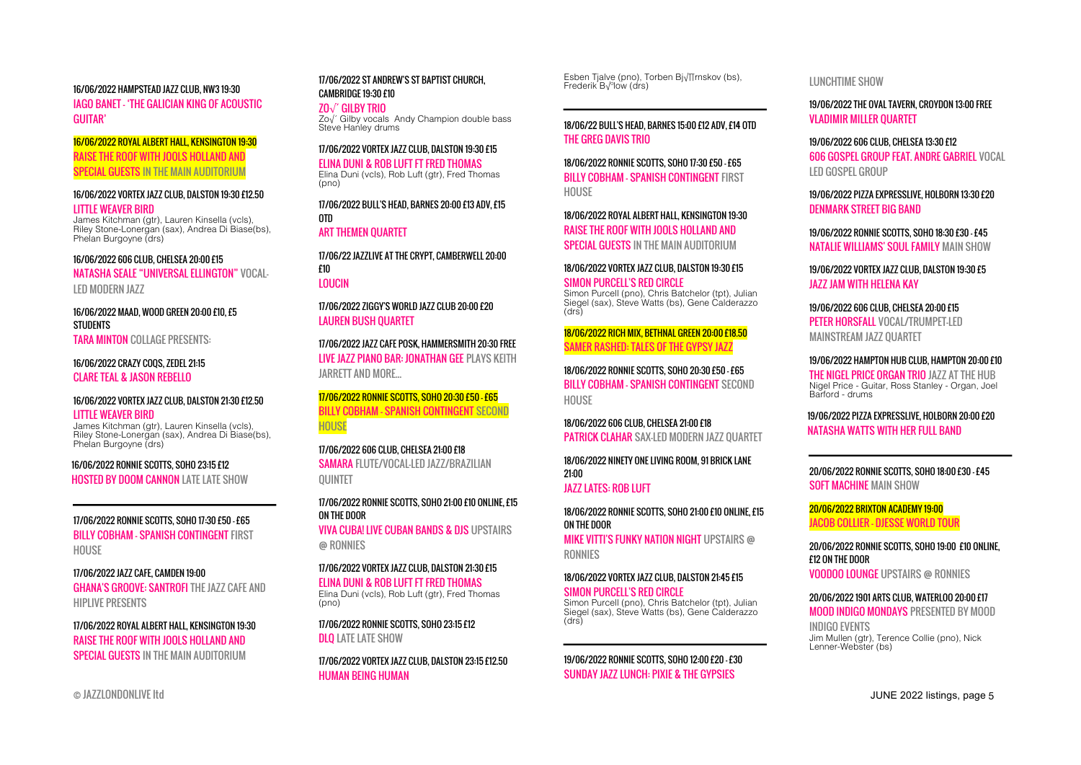#### 16/06/2022 HAMPSTEAD JAZZ CLUB, NW3 19:30

IAGO BANET - 'THE GALICIAN KING OF ACOUSTIC GUITAR'

16/06/2022 ROYAL ALBERT HALL, KENSINGTON 19:30 RAISE THE ROOF WITH JOOLS HOLLAND AND SPECIAL GUESTS IN THE MAIN AUDITORIUM

#### 16/06/2022 VORTEX JAZZ CLUB, DALSTON 19:30 £12.50 LITTLE WEAVER BIRD

James Kitchman (gtr), Lauren Kinsella (vcls), Riley Stone-Lonergan (sax), Andrea Di Biase(bs), Phelan Burgoyne (drs)

#### 16/06/2022 606 CLUB, CHELSEA 20:00 £15

NATASHA SEALE "UNIVERSAL ELLINGTON" VOCAL-LED MODERN JAZZ

16/06/2022 MAAD, WOOD GREEN 20:00 £10, £5 **STUDENTS** 

TARA MINTON COLLAGE PRESENTS:

16/06/2022 CRAZY COQS, ZEDEL 21:15 CLARE TEAL & JASON REBELLO

## 16/06/2022 VORTEX JAZZ CLUB, DALSTON 21:30 £12.50

LITTLE WEAVER BIRD

James Kitchman (gtr), Lauren Kinsella (vcls), Riley Stone-Lonergan (sax), Andrea Di Biase(bs), Phelan Burgoyne (drs)

#### 16/06/2022 RONNIE SCOTTS, SOHO 23:15 £12 HOSTED BY DOOM CANNON LATE LATE SHOW

17/06/2022 RONNIE SCOTTS, SOHO 17:30 £50 - £65 BILLY COBHAM - SPANISH CONTINGENT FIRST HOUSE

17/06/2022 JAZZ CAFE, CAMDEN 19:00 GHANA'S GROOVE: SANTROFI THE JAZZ CAFE AND HIPLIVE PRESENTS

17/06/2022 ROYAL ALBERT HALL, KENSINGTON 19:30 RAISE THE ROOF WITH JOOLS HOLLAND AND SPECIAL GUESTS IN THE MAIN AUDITORIUM

#### 17/06/2022 ST ANDREW'S ST BAPTIST CHURCH, CAMBRIDGE 19:30 £10

ZO√´ GILBY TRIO Zo√´ Gilby vocals Andy Champion double bass Steve Hanley drums

## 17/06/2022 VORTEX JAZZ CLUB, DALSTON 19:30 £15

ELINA DUNI & ROB LUFT FT FRED THOMAS

Elina Duni (vcls), Rob Luft (gtr), Fred Thomas  $($ pno $)$ 

17/06/2022 BULL'S HEAD, BARNES 20:00 £13 ADV, £15 OTD ART THEMEN QUARTET

17/06/22 JAZZLIVE AT THE CRYPT, CAMBERWELL 20:00 £10 LOUCIN

17/06/2022 ZIGGY'S WORLD JAZZ CLUB 20:00 £20 LAUREN BUSH QUARTET

17/06/2022 JAZZ CAFE POSK, HAMMERSMITH 20:30 FREE LIVE JAZZ PIANO BAR: JONATHAN GEE PLAYS KEITH JARRETT AND MORE...

17/06/2022 RONNIE SCOTTS, SOHO 20:30 £50 - £65 BILLY COBHAM - SPANISH CONTINGENT SECOND **HOUSE** 

17/06/2022 606 CLUB, CHELSEA 21:00 £18 SAMARA FILITE/VOCAL-LED JAZZ/BRAZILIAN QUINTET

17/06/2022 RONNIE SCOTTS, SOHO 21:00 £10 ONLINE, £15 ON THE DOOR VIVA CUBA! LIVE CUBAN BANDS & DJS UPSTAIRS @ RONNIES

17/06/2022 VORTEX JAZZ CLUB, DALSTON 21:30 £15 ELINA DUNI & ROB LUFT FT FRED THOMAS Elina Duni (vcls), Rob Luft (gtr), Fred Thomas (pno)

17/06/2022 RONNIE SCOTTS, SOHO 23:15 £12 DLQ LATE LATE SHOW

17/06/2022 VORTEX JAZZ CLUB, DALSTON 23:15 £12.50 HUMAN BEING HUMAN

Esben Tjalve (pno), Torben Bjørnskov (bs),<br>Frederik Bülow (drs)

18/06/22 BULL'S HEAD, BARNES 15:00 £12 ADV, £14 OTD THE GREG DAVIS TRIO

18/06/2022 RONNIE SCOTTS, SOHO 17:30 £50 - £65 BILLY COBHAM - SPANISH CONTINGENT FIRST **HOUSE** 

18/06/2022 ROYAL ALBERT HALL, KENSINGTON 19:30 RAISE THE ROOF WITH JOOLS HOLLAND AND SPECIAL GUESTS IN THE MAIN AUDITORIUM

18/06/2022 VORTEX JAZZ CLUB, DALSTON 19:30 £15 SIMON PURCELL'S RED CIRCLE Simon Purcell (pno), Chris Batchelor (tpt), Julian Siegel (sax), Steve Watts (bs), Gene Calderazzo (drs)

18/06/2022 RICH MIX, BETHNAL GREEN 20:00 £18.50 SAMER RASHED: TALES OF THE GYPSY JAZZ

18/06/2022 RONNIE SCOTTS, SOHO 20:30 £50 - £65 BILLY COBHAM - SPANISH CONTINGENT SECOND HOUSE

18/06/2022 606 CLUB, CHELSEA 21:00 £18 PATRICK CLAHAR SAX-LED MODERN JAZZ QUARTET

18/06/2022 NINETY ONE LIVING ROOM, 91 BRICK LANE 21:00

JAZZ LATES: ROB LUFT

18/06/2022 RONNIE SCOTTS, SOHO 21:00 £10 ONLINE, £15 ON THE DOOR MIKE VITTI'S FUNKY NATION NIGHT UPSTAIRS @ RONNIES

18/06/2022 VORTEX JAZZ CLUB, DALSTON 21:45 £15

SIMON PURCELL'S RED CIRCLE Simon Purcell (pno), Chris Batchelor (tpt), Julian Siegel (sax), Steve Watts (bs), Gene Calderazzo  $(r<sub>s</sub>)$ 

19/06/2022 RONNIE SCOTTS, SOHO 12:00 £20 - £30 SUNDAY JAZZ LUNCH: PIXIE & THE GYPSIES

LUNCHTIME SHOW

19/06/2022 THE OVAL TAVERN, CROYDON 13:00 FREE VLADIMIR MILLER QUARTET

19/06/2022 606 CLUB, CHELSEA 13:30 £12 606 GOSPEL GROUP FEAT. ANDRE GABRIEL VOCAL LED GOSPEL GROUP

19/06/2022 PIZZA EXPRESSLIVE, HOLBORN 13:30 £20 DENMARK STREET BIG BAND

19/06/2022 RONNIE SCOTTS, SOHO 18:30 £30 - £45 NATALIF WILLIAMS' SOLIL FAMILY MAIN SHOW

19/06/2022 VORTEX JAZZ CLUB, DALSTON 19:30 £5 JAZZ JAM WITH HELENA KAY

19/06/2022 606 CLUB, CHELSEA 20:00 £15 PETER HORSFALL VOCAL/TRUMPET-LED MAINSTREAM JAZZ QUARTET

19/06/2022 HAMPTON HUB CLUB, HAMPTON 20:00 £10

THE NIGEL PRICE ORGAN TRIO JAZZ AT THE HUB Nigel Price - Guitar, Ross Stanley - Organ, Joel Barford - drums

19/06/2022 PIZZA EXPRESSLIVE, HOLBORN 20:00 £20 NATASHA WATTS WITH HER FULL BAND

20/06/2022 RONNIE SCOTTS, SOHO 18:00 £30 - £45 SOFT MACHINE MAIN SHOW

20/06/2022 BRIXTON ACADEMY 19:00 JACOB COLLIER - DJESSE WORLD TOUR

20/06/2022 RONNIE SCOTTS, SOHO 19:00 £10 ONLINE, £12 ON THE DOOR

VOODOO LOUNGE UPSTAIRS @ RONNIES

#### 20/06/2022 1901 ARTS CLUB, WATERLOO 20:00 £17

MOOD INDIGO MONDAYS PRESENTED BY MOOD INDIGO EVENTS

Jim Mullen (gtr), Terence Collie (pno), Nick Lenner-Webster (bs)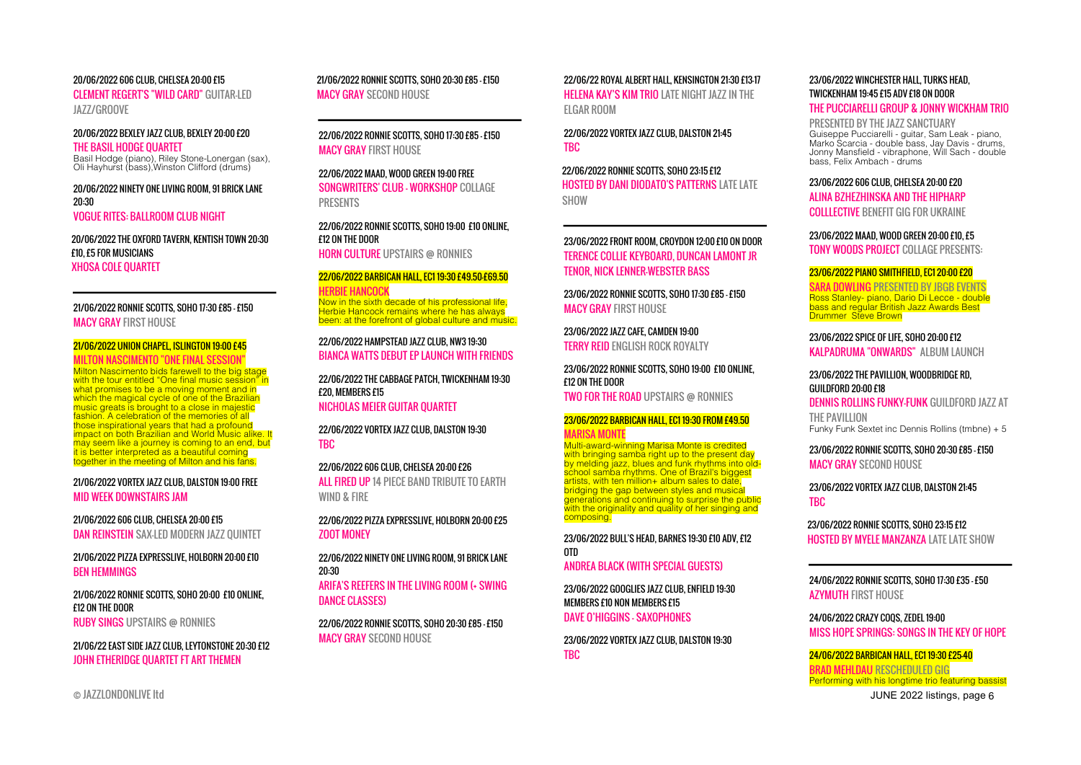#### 20/06/2022 606 CLUB, CHELSEA 20:00 £15

CLEMENT REGERT'S "WILD CARD" GUITAR-LED JAZZ/GROOVE

#### 20/06/2022 BEXLEY JAZZ CLUB, BEXLEY 20:00 £20

THE BASIL HODGE QUARTET Basil Hodge (piano), Riley Stone-Lonergan (sax), Oli Hayhurst (bass),Winston Clifford (drums)

#### 20/06/2022 NINETY ONE LIVING ROOM, 91 BRICK LANE 20:30 VOGUE RITES: BALLROOM CLUB NIGHT

20/06/2022 THE OXFORD TAVERN, KENTISH TOWN 20:30 £10, £5 FOR MUSICIANS XHOSA COLE QUARTET

#### 21/06/2022 RONNIE SCOTTS, SOHO 17:30 £85 - £150 MACY GRAY FIRST HOUSE

#### 21/06/2022 UNION CHAPEL, ISLINGTON 19:00 £45

#### MILTON NASCIMENTO "ONE FINAL SESSION"

Milton Nascimento bids farewell to the big stage with the tour entitled "One final music session" in what promises to be a moving moment and in which the magical cycle of one of the Brazilian music greats is brought to a close in majestic fashion. A celebration of the memories of all those inspirational years that had a profound impact on both Brazilian and World Music alike. It may seem like a journey is coming to an end, but it is better interpreted as a beautiful coming together in the meeting of Milton and his fans.

#### 21/06/2022 VORTEX JAZZ CLUB, DALSTON 19:00 FREE MID WEEK DOWNSTAIRS JAM

21/06/2022 606 CLUB, CHELSEA 20:00 £15 DAN REINSTEIN SAX-LED MODERN JAZZ QUINTET

21/06/2022 PIZZA EXPRESSLIVE, HOLBORN 20:00 £10 BEN HEMMINGS

21/06/2022 RONNIE SCOTTS, SOHO 20:00 £10 ONLINE, £12 ON THE DOOR RUBY SINGS UPSTAIRS @ RONNIES

#### 21/06/22 EAST SIDE JAZZ CLUB, LEYTONSTONE 20:30 £12 JOHN ETHERIDGE QUARTET FT ART THEMEN

21/06/2022 RONNIE SCOTTS, SOHO 20:30 £85 - £150 MACY GRAY SECOND HOUSE

22/06/2022 RONNIE SCOTTS, SOHO 17:30 £85 - £150 MACY GRAY FIRST HOUSE

22/06/2022 MAAD, WOOD GREEN 19:00 FREE SONGWRITERS' CLUB - WORKSHOP COLLAGE PRESENTS

22/06/2022 RONNIE SCOTTS, SOHO 19:00 £10 ONLINE, £12 ON THE DOOR HORN CULTURE UPSTAIRS @ RONNIES

#### 22/06/2022 BARBICAN HALL, EC1 19:30 £49.50-£69.50 HERBIE HANCOCK

Now in the sixth decade of his professional life, Herbie Hancock remains where he has always been: at the forefront of global culture and music.

22/06/2022 HAMPSTEAD JAZZ CLUB, NW3 19:30 BIANCA WATTS DEBUT EP LAUNCH WITH FRIENDS

22/06/2022 THE CABBAGE PATCH, TWICKENHAM 19:30 £20, MEMBERS £15 NICHOLAS MEIER GUITAR QUARTET

22/06/2022 VORTEX JAZZ CLUB, DALSTON 19:30 TBC

22/06/2022 606 CLUB, CHELSEA 20:00 £26 ALL FIRED UP 14 PIECE BAND TRIBUTE TO FARTH WIND & FIRE

22/06/2022 PIZZA EXPRESSLIVE, HOLBORN 20:00 £25 ZOOT MONEY

22/06/2022 NINETY ONE LIVING ROOM, 91 BRICK LANE 20:30

ARIFA'S REEFERS IN THE LIVING ROOM (+ SWING DANCE CLASSES)

22/06/2022 RONNIE SCOTTS, SOHO 20:30 £85 - £150 MACY GRAY SECOND HOUSE

22/06/22 ROYAL ALBERT HALL, KENSINGTON 21:30 £13-17 HELENA KAY'S KIM TRIO LATE NIGHT JAZZ IN THE ELGAR ROOM

22/06/2022 VORTEX JAZZ CLUB, DALSTON 21:45 TBC

22/06/2022 RONNIE SCOTTS, SOHO 23:15 £12 HOSTED BY DANI DIODATO'S PATTERNS LATE LATE SHOW

23/06/2022 FRONT ROOM, CROYDON 12:00 £10 ON DOOR TERENCE COLLIE KEYBOARD, DUNCAN LAMONT JR TENOR, NICK LENNER-WEBSTER BASS

23/06/2022 RONNIE SCOTTS, SOHO 17:30 £85 - £150 MACY GRAY FIRST HOUSE

23/06/2022 JAZZ CAFE, CAMDEN 19:00 TERRY REID ENGLISH ROCK ROYALTY

23/06/2022 RONNIE SCOTTS, SOHO 19:00 £10 ONLINE, £12 ON THE DOOR TWO FOR THE ROAD UPSTAIRS @ RONNIES

#### 23/06/2022 BARBICAN HALL, EC1 19:30 FROM £49.50 MARISA MONTE

Multi-award-winning Marisa Monte is credited with bringing samba right up to the present day by melding jazz, blues and funk rhythms into oldschool samba rhythms. One of Brazil's biggest  $arits$ , with ten million  $+$  album sales to date, bridging the gap between styles and musical generations and continuing to surprise the public with the originality and quality of her singing and composing.

23/06/2022 BULL'S HEAD, BARNES 19:30 £10 ADV, £12 OTD

ANDREA BLACK (WITH SPECIAL GUESTS)

23/06/2022 GOOGLIES JAZZ CLUB, ENFIELD 19:30 MEMBERS £10 NON MEMBERS £15 DAVE O'HIGGINS - SAXOPHONES

23/06/2022 VORTEX JAZZ CLUB, DALSTON 19:30 TBC

#### 23/06/2022 WINCHESTER HALL, TURKS HEAD, TWICKENHAM 19:45 £15 ADV £18 ON DOOR

#### THE PUCCIARELLI GROUP & JONNY WICKHAM TRIO

PRESENTED BY THE JAZZ SANCTUARY Guiseppe Pucciarelli - guitar, Sam Leak - piano, Marko Scarcia - double bass, Jay Davis - drums, Jonny Mansfield - vibraphone, Will Sach - double bass, Felix Ambach - drums

#### 23/06/2022 606 CLUB, CHELSEA 20:00 £20

ALINA BZHEZHINSKA AND THE HIPHARP

COLLLECTIVE BENEFIT GIG FOR UKRAINE

23/06/2022 MAAD, WOOD GREEN 20:00 £10, £5 TONY WOODS PROJECT COLLAGE PRESENTS:

#### 23/06/2022 PIANO SMITHFIELD, EC1 20:00 £20

SARA DOWLING PRESENTED BY JBGB EVENTS Ross Stanley- piano, Dario Di Lecce - double<br>bass and regular British Jazz Awards Best<br>Drummer Steve Brown

23/06/2022 SPICE OF LIFE, SOHO 20:00 £12 KALPADRUMA "ONWARDS" ALBUM LAUNCH

23/06/2022 THE PAVILLION, WOODBRIDGE RD, GUILDFORD 20:00 £18

DENNIS ROLLINS FUNKY-FUNK GUILDFORD JAZZ AT THE PAVILLION Funky Funk Sextet inc Dennis Rollins (tmbne) + 5

23/06/2022 RONNIE SCOTTS, SOHO 20:30 £85 - £150 MACY GRAY SECOND HOUSE

23/06/2022 VORTEX JAZZ CLUB, DALSTON 21:45 TBC

23/06/2022 RONNIE SCOTTS, SOHO 23:15 £12 HOSTED BY MYELE MANZANZA LATE LATE SHOW

24/06/2022 RONNIE SCOTTS, SOHO 17:30 £35 - £50 AZYMUTH FIRST HOUSE

24/06/2022 CRAZY COQS, ZEDEL 19:00 MISS HOPE SPRINGS: SONGS IN THE KEY OF HOPE

24/06/2022 BARBICAN HALL, EC1 19:30 £25-40 BRAD MEHLDAU RESCHEDULED GIG Performing with his longtime trio featuring bassist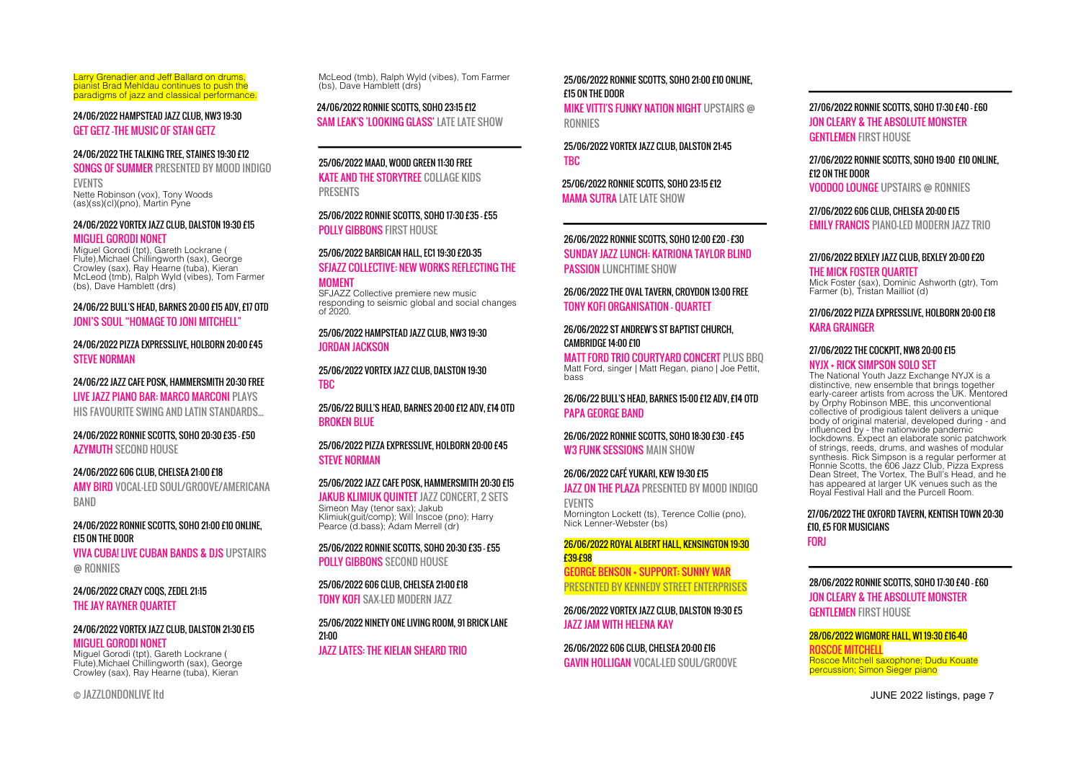Larry Grenadier and Jeff Ballard on drums, pianist Brad Mehldau continues to push the paradigms of jazz and classical performance.

24/06/2022 HAMPSTEAD JAZZ CLUB, NW3 19:30 GET GETZ -THE MUSIC OF STAN GETZ

#### 24/06/2022 THE TALKING TREE, STAINES 19:30 £12

SONGS OF SUMMER PRESENTED BY MOOD INDIGO EVENTS

Nette Robinson (vox), Tony Woods (as)(ss)(cl)(pno), Martin Pyne

#### 24/06/2022 VORTEX JAZZ CLUB, DALSTON 19:30 £15

#### MIGUEL GORODI NONET

Miguel Gorodi (tpt), Gareth Lockrane ( Flute),Michael Chillingworth (sax), George Crowley (sax), Ray Hearne (tuba), Kieran McLeod (tmb), Ralph Wyld (vibes), Tom Farmer (bs), Dave Hamblett (drs)

#### 24/06/22 BULL'S HEAD, BARNES 20:00 £15 ADV, £17 OTD JONI'S SOUL "HOMAGE TO JONI MITCHELL"

24/06/2022 PIZZA EXPRESSLIVE, HOLBORN 20:00 £45 STEVE NORMAN

#### 24/06/22 JAZZ CAFE POSK, HAMMERSMITH 20:30 FREE LIVE JAZZ PIANO BAR: MARCO MARCONI PLAYS HIS FAVOURITE SWING AND LATIN STANDARDS...

24/06/2022 RONNIE SCOTTS, SOHO 20:30 £35 - £50 AZYMUTH SECOND HOUSE

## 24/06/2022 606 CLUB, CHELSEA 21:00 £18

AMY BIRD VOCAL-LED SOUL/GROOVE/AMERICANA BAND

#### 24/06/2022 RONNIE SCOTTS, SOHO 21:00 £10 ONLINE, £15 ON THE DOOR

VIVA CUBA! LIVE CUBAN BANDS & DJS UPSTAIRS @ RONNIES

#### 24/06/2022 CRAZY COQS, ZEDEL 21:15 THE JAY RAYNER QUARTET

#### 24/06/2022 VORTEX JAZZ CLUB, DALSTON 21:30 £15 MIGUEL GORODI NONET

Miguel Gorodi (tpt), Gareth Lockrane ( Flute),Michael Chillingworth (sax), George Crowley (sax), Ray Hearne (tuba), Kieran

McLeod (tmb), Ralph Wyld (vibes), Tom Farmer (bs), Dave Hamblett (drs)

24/06/2022 RONNIE SCOTTS, SOHO 23:15 £12 SAM LEAK'S 'LOOKING GLASS' LATE LATE SHOW

25/06/2022 MAAD, WOOD GREEN 11:30 FREE KATE AND THE STORYTREE COLLAGE KIDS

PRESENTS

25/06/2022 RONNIE SCOTTS, SOHO 17:30 £35 - £55 POLLY GIRRONS FIRST HOLLSE

#### 25/06/2022 BARBICAN HALL, EC1 19:30 £20-35 SFIAZZ COLLECTIVE: NEW WORKS REFLECTING THE MOMENT

SFJAZZ Collective premiere new music responding to seismic global and social changes of 2020.

#### 25/06/2022 HAMPSTEAD JAZZ CLUB, NW3 19:30 JORDAN JACKSON

25/06/2022 VORTEX JAZZ CLUB, DALSTON 19:30 TBC

25/06/22 BULL'S HEAD, BARNES 20:00 £12 ADV, £14 OTD BROKEN BLUE

#### 25/06/2022 PIZZA EXPRESSLIVE, HOLBORN 20:00 £45 STEVE NORMAN

#### 25/06/2022 JAZZ CAFE POSK, HAMMERSMITH 20:30 £15 **JAKUB KLIMIUK QUINTET JAZZ CONCERT, 2 SETS** Simeon May (tenor sax); Jakub Klimiuk(guit/comp); Will Inscoe (pno); Harry Pearce (d.bass); Adam Merrell (dr)

25/06/2022 RONNIE SCOTTS, SOHO 20:30 £35 - £55 **POLLY GIBBONS SECOND HOUSE** 

25/06/2022 606 CLUB, CHELSEA 21:00 £18 **TONY KOFI SAX-LED MODERN JAZZ** 

#### 25/06/2022 NINETY ONE LIVING ROOM, 91 BRICK LANE 21:00 JAZZ LATES: THE KIELAN SHEARD TRIO

#### 25/06/2022 RONNIE SCOTTS, SOHO 21:00 £10 ONLINE, £15 ON THE DOOR MIKE VITTI'S FUNKY NATION NIGHT UPSTAIRS @ RONNIES

25/06/2022 VORTEX JAZZ CLUB, DALSTON 21:45 TBC

25/06/2022 RONNIE SCOTTS, SOHO 23:15 £12 **MAMA SUTRA LATE LATE SHOW** 

#### 26/06/2022 RONNIE SCOTTS, SOHO 12:00 £20 - £30 SUNDAY JAZZ LUNCH: KATRIONA TAYLOR BLIND PASSION LUNCHTIME SHOW

26/06/2022 THE OVAL TAVERN, CROYDON 13:00 FREE TONY KOFI ORGANISATION - QUARTET

26/06/2022 ST ANDREW'S ST BAPTIST CHURCH, CAMBRIDGE 14:00 £10

MATT FORD TRIO COURTYARD CONCERT PLUS BBQ Matt Ford, singer | Matt Regan, piano | Joe Pettit, bass

26/06/22 BULL'S HEAD, BARNES 15:00 £12 ADV, £14 OTD PAPA GEORGE BAND

26/06/2022 RONNIE SCOTTS, SOHO 18:30 £30 - £45 W3 FUNK SESSIONS MAIN SHOW

26/06/2022 CAFÉ YUKARI, KEW 19:30 £15 **JAZZ ON THE PLAZA PRESENTED BY MOOD INDIGO** EVENTS Mornington Lockett (ts), Terence Collie (pno), Nick Lenner-Webster (bs)

#### 26/06/2022 ROYAL ALBERT HALL, KENSINGTON 19:30 £39-£98

GEORGE BENSON + SUPPORT: SUNNY WAR PRESENTED BY KENNEDY STREET ENTERPRISES

26/06/2022 VORTEX JAZZ CLUB, DALSTON 19:30 £5 JAZZ JAM WITH HELENA KAY

26/06/2022 606 CLUB, CHELSEA 20:00 £16 GAVIN HOLLIGAN VOCAL-LED SOUL/GROOVE

#### 27/06/2022 RONNIE SCOTTS, SOHO 17:30 £40 - £60 JON CLEARY & THE ABSOLUTE MONSTER **GENTLEMEN FIRST HOUSE**

27/06/2022 RONNIE SCOTTS, SOHO 19:00 £10 ONLINE, £12 ON THE DOOR

VOODOO LOUNGE UPSTAIRS @ RONNIES

#### 27/06/2022 606 CLUB, CHFLSFA 20:00 £15

EMILY FRANCIS PIANO-LED MODERN JAZZ TRIO

#### 27/06/2022 BEXLEY JAZZ CLUB, BEXLEY 20:00 £20

#### THE MICK FOSTER QUARTET Mick Foster (sax), Dominic Ashworth (gtr), Tom Farmer (b), Tristan Mailliot (d)

#### 27/06/2022 PIZZA EXPRESSLIVE, HOLBORN 20:00 £18 KARA GRAINGER

#### 27/06/2022 THE COCKPIT, NW8 20:00 £15

#### NYJX + RICK SIMPSON SOLO SET

The National Youth Jazz Exchange NYJX is a distinctive, new ensemble that brings together early-career artists from across the UK. Mentored by Orphy Robinson MBE, this unconventional collective of prodigious talent delivers a unique body of original material, developed during - and influenced by - the nationwide pandemic lockdowns. Expect an elaborate sonic patchwork of strings, reeds, drums, and washes of modular synthesis. Rick Simpson is a regular performer at Ronnie Scotts, the 606 Jazz Club, Pizza Express Dean Street, The Vortex, The Bull's Head, and he has appeared at larger UK venues such as the Royal Festival Hall and the Purcell Room.

## 27/06/2022 THE OXFORD TAVERN, KENTISH TOWN 20:30 £10, £5 FOR MUSICIANS

FORJ

#### 28/06/2022 RONNIE SCOTTS, SOHO 17:30 £40 - £60 JON CLEARY & THE ABSOLUTE MONSTER **GENTLEMEN FIRST HOLISE**

28/06/2022 WIGMORE HALL, W1 19:30 £16-40 ROSCOE MITCHELL Roscoe Mitchell saxophone; Dudu Kouate percussion; Simon Sieger piano